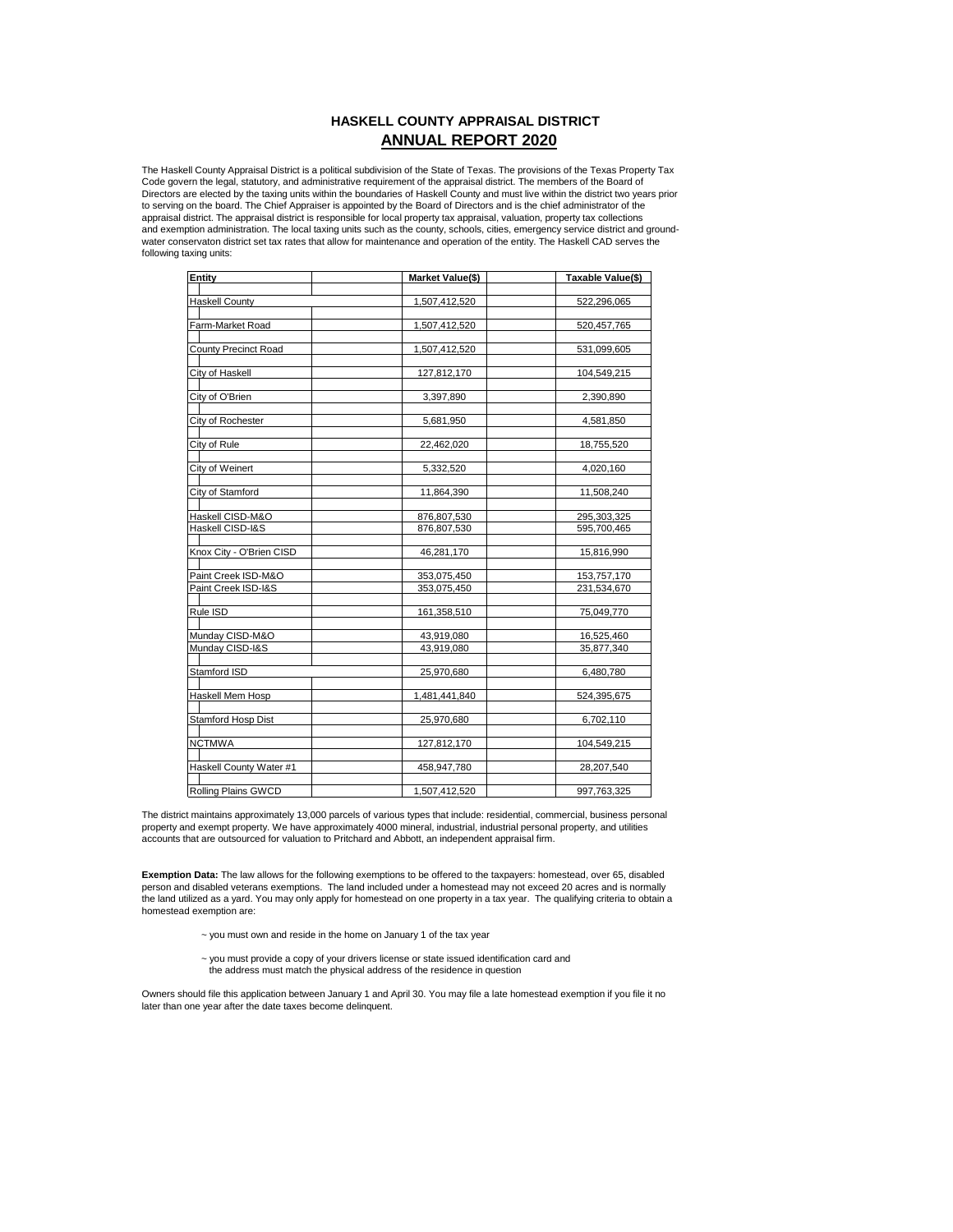# **HASKELL COUNTY APPRAISAL DISTRICT ANNUAL REPORT 2020**

The Haskell County Appraisal District is a political subdivision of the State of Texas. The provisions of the Texas Property Tax<br>Code govern the legal, statutory, and administrative requirement of the appraisal district. T Directors are elected by the taxing units within the boundaries of Haskell County and must live within the district two years prior to serving on the board. The Chief Appraiser is appointed by the Board of Directors and is the chief administrator of the appraisal district. The appraisal district is responsible for local property tax appraisal, valuation, property tax collections and exemption administration. The local taxing units such as the county, schools, cities, emergency service district and groundwater conservaton district set tax rates that allow for maintenance and operation of the entity. The Haskell CAD serves the following taxing units:

| Entity                     | Market Value(\$) | Taxable Value(\$) |
|----------------------------|------------------|-------------------|
|                            |                  |                   |
| <b>Haskell County</b>      | 1,507,412,520    | 522,296,065       |
|                            |                  |                   |
| Farm-Market Road           | 1.507.412.520    | 520.457.765       |
|                            |                  |                   |
| County Precinct Road       | 1,507,412,520    | 531,099,605       |
|                            |                  |                   |
| City of Haskell            | 127,812,170      | 104.549.215       |
|                            |                  |                   |
| City of O'Brien            | 3,397,890        | 2,390,890         |
|                            |                  |                   |
| City of Rochester          | 5,681,950        | 4,581,850         |
| City of Rule               | 22,462,020       | 18,755,520        |
|                            |                  |                   |
| City of Weinert            | 5,332,520        | 4,020,160         |
|                            |                  |                   |
| City of Stamford           | 11,864,390       | 11,508,240        |
|                            |                  |                   |
| Haskell CISD-M&O           | 876,807,530      | 295,303,325       |
| Haskell CISD-I&S           | 876,807,530      | 595,700,465       |
|                            |                  |                   |
| Knox City - O'Brien CISD   | 46,281,170       | 15,816,990        |
|                            |                  |                   |
| Paint Creek ISD-M&O        | 353,075,450      | 153,757,170       |
| Paint Creek ISD-I&S        | 353,075,450      | 231,534,670       |
|                            |                  |                   |
| Rule ISD                   | 161,358,510      | 75,049,770        |
|                            |                  |                   |
| Munday CISD-M&O            | 43,919,080       | 16,525,460        |
| Munday CISD-I&S            | 43,919,080       | 35,877,340        |
| Stamford ISD               |                  |                   |
|                            | 25,970,680       | 6,480,780         |
| <b>Haskell Mem Hosp</b>    | 1,481,441,840    | 524,395,675       |
|                            |                  |                   |
| Stamford Hosp Dist         | 25,970,680       | 6,702,110         |
|                            |                  |                   |
| <b>NCTMWA</b>              | 127,812,170      | 104,549,215       |
|                            |                  |                   |
| Haskell County Water #1    | 458,947,780      | 28,207,540        |
|                            |                  |                   |
| <b>Rolling Plains GWCD</b> | 1,507,412,520    | 997,763,325       |

The district maintains approximately 13,000 parcels of various types that include: residential, commercial, business personal property and exempt property. We have approximately 4000 mineral, industrial, industrial personal property, and utilities accounts that are outsourced for valuation to Pritchard and Abbott, an independent appraisal firm.

**Exemption Data:** The law allows for the following exemptions to be offered to the taxpayers: homestead, over 65, disabled person and disabled veterans exemptions. The land included under a homestead may not exceed 20 acres and is normally the land utilized as a yard. You may only apply for homestead on one property in a tax year. The qualifying criteria to obtain a homestead exemption are:

- $\sim$  you must own and reside in the home on January 1 of the tax year
- ~ you must provide a copy of your drivers license or state issued identification card and the address must match the physical address of the residence in question

Owners should file this application between January 1 and April 30. You may file a late homestead exemption if you file it no later than one year after the date taxes become delinquent.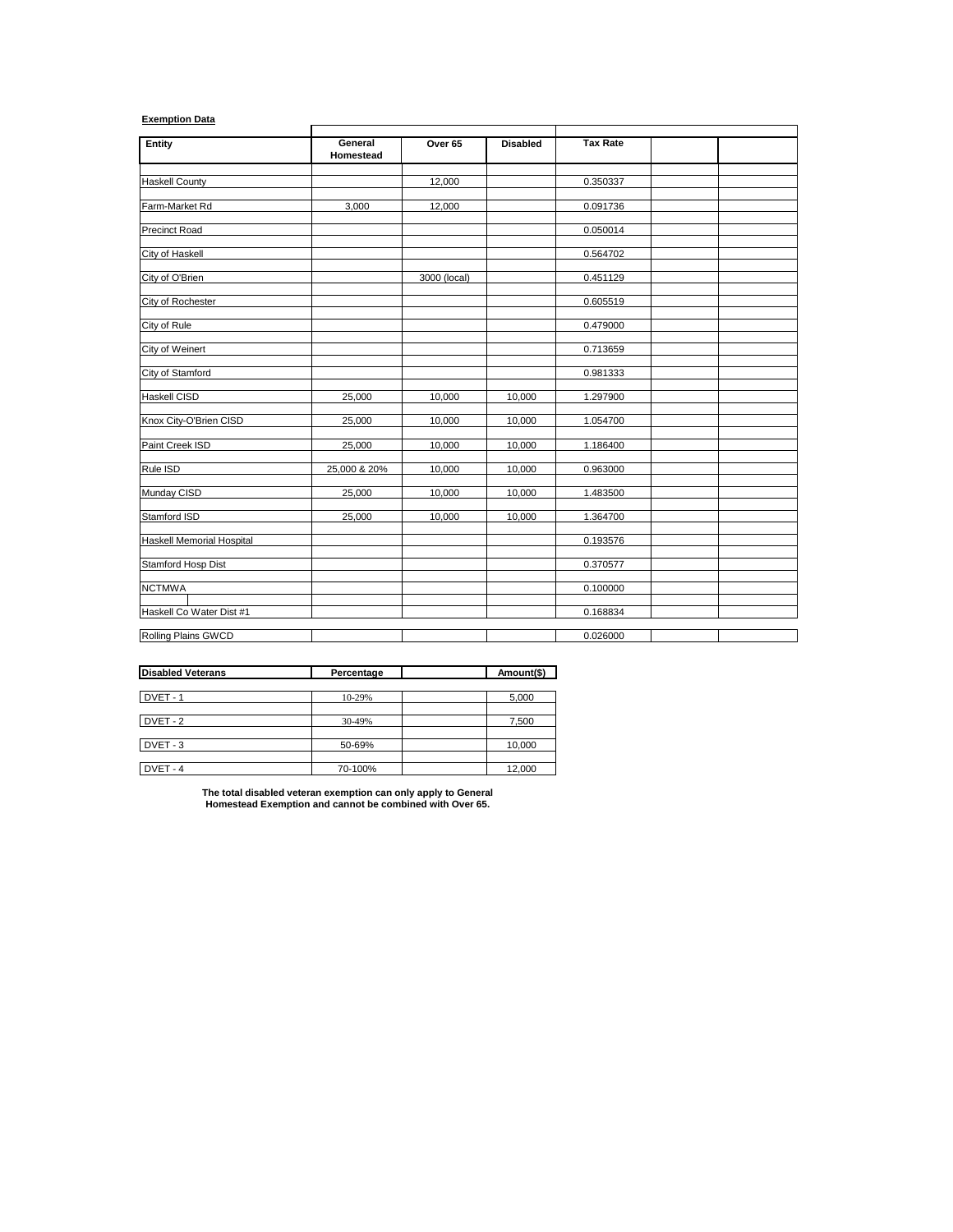# **Exemption Data**

| Entity                           | General<br>Homestead | Over 65      | <b>Disabled</b> | <b>Tax Rate</b> |  |
|----------------------------------|----------------------|--------------|-----------------|-----------------|--|
| <b>Haskell County</b>            |                      | 12,000       |                 | 0.350337        |  |
| Farm-Market Rd                   | 3,000                | 12,000       |                 | 0.091736        |  |
| <b>Precinct Road</b>             |                      |              |                 | 0.050014        |  |
| City of Haskell                  |                      |              |                 | 0.564702        |  |
| City of O'Brien                  |                      | 3000 (local) |                 | 0.451129        |  |
| City of Rochester                |                      |              |                 | 0.605519        |  |
| City of Rule                     |                      |              |                 | 0.479000        |  |
| City of Weinert                  |                      |              |                 | 0.713659        |  |
| City of Stamford                 |                      |              |                 | 0.981333        |  |
| <b>Haskell CISD</b>              | 25,000               | 10,000       | 10,000          | 1.297900        |  |
| Knox City-O'Brien CISD           | 25,000               | 10,000       | 10,000          | 1.054700        |  |
| Paint Creek ISD                  | 25,000               | 10,000       | 10,000          | 1.186400        |  |
| Rule ISD                         | 25,000 & 20%         | 10,000       | 10,000          | 0.963000        |  |
| Munday CISD                      | 25,000               | 10,000       | 10,000          | 1.483500        |  |
| Stamford ISD                     | 25,000               | 10,000       | 10,000          | 1.364700        |  |
| <b>Haskell Memorial Hospital</b> |                      |              |                 | 0.193576        |  |
| Stamford Hosp Dist               |                      |              |                 | 0.370577        |  |
| <b>NCTMWA</b>                    |                      |              |                 | 0.100000        |  |
| Haskell Co Water Dist #1         |                      |              |                 | 0.168834        |  |
| Rolling Plains GWCD              |                      |              |                 | 0.026000        |  |

| <b>Disabled Veterans</b> | Percentage | Amount(\$) |
|--------------------------|------------|------------|
|                          |            |            |
| DVET-1                   | 10-29%     | 5,000      |
|                          |            |            |
| DVET-2                   | 30-49%     | 7,500      |
|                          |            |            |
| DVET-3                   | 50-69%     | 10,000     |
|                          |            |            |
| DVET-4                   | 70-100%    | 12,000     |

**The total disabled veteran exemption can only apply to General Homestead Exemption and cannot be combined with Over 65.**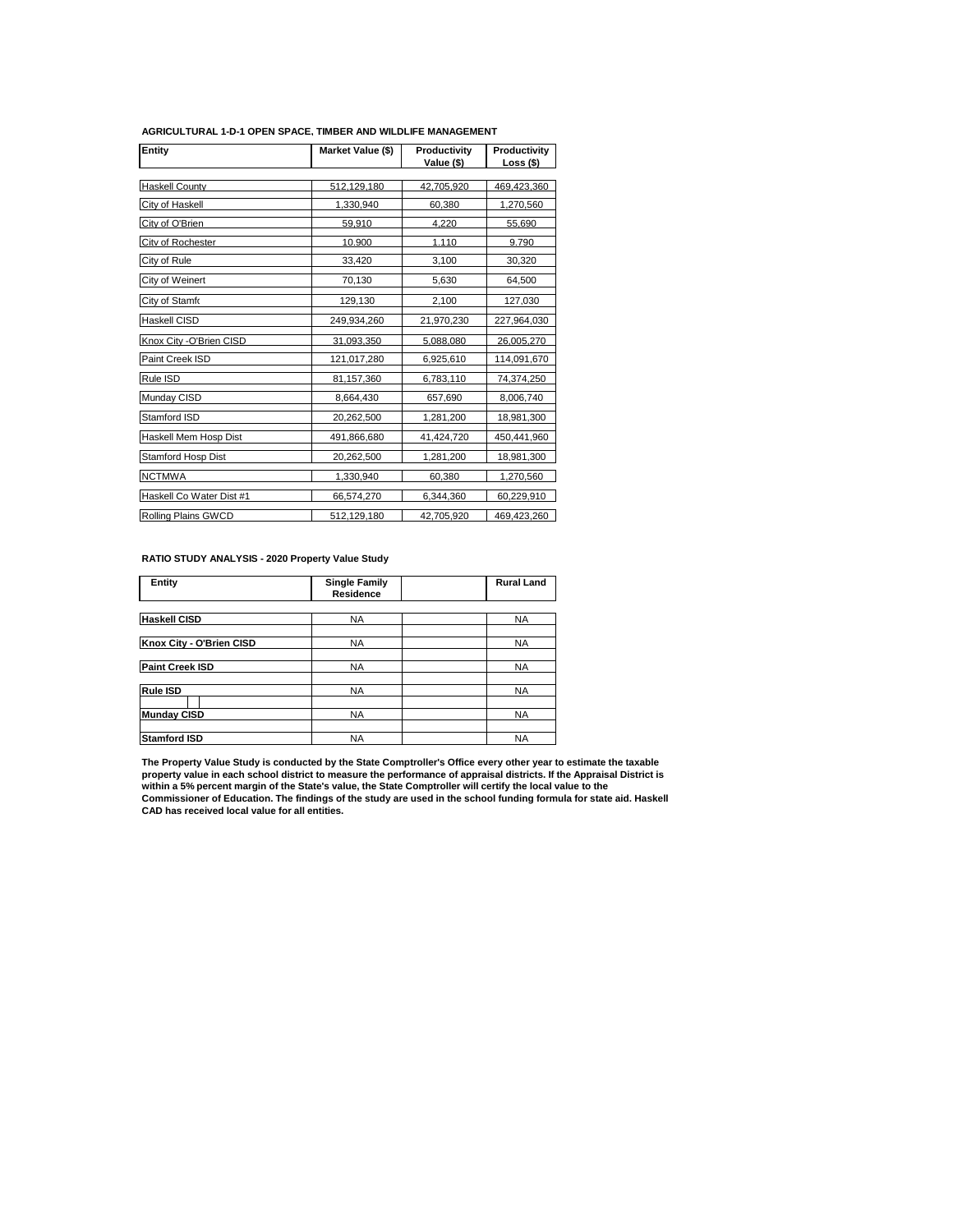| Entity                     | Market Value (\$) | Productivity<br>Value (\$) | Productivity<br>Loss (\$) |
|----------------------------|-------------------|----------------------------|---------------------------|
| <b>Haskell County</b>      | 512.129.180       |                            | 469.423.360               |
|                            |                   | 42.705.920                 |                           |
| City of Haskell            | 1,330,940         | 60,380                     | 1,270,560                 |
| City of O'Brien            | 59,910            | 4.220                      | 55,690                    |
| City of Rochester          | 10.900            | 1.110                      | 9.790                     |
| City of Rule               | 33,420            | 3,100                      | 30,320                    |
| City of Weinert            | 70,130            | 5,630                      | 64,500                    |
| City of Stamfo             | 129,130           | 2,100                      | 127,030                   |
| Haskell CISD               | 249,934,260       | 21,970,230                 | 227,964,030               |
| Knox City - O'Brien CISD   | 31,093,350        | 5,088,080                  | 26,005,270                |
| Paint Creek ISD            | 121,017,280       | 6,925,610                  | 114,091,670               |
| Rule ISD                   | 81,157,360        | 6,783,110                  | 74,374,250                |
| Munday CISD                | 8,664,430         | 657,690                    | 8,006,740                 |
| Stamford ISD               | 20,262,500        | 1,281,200                  | 18,981,300                |
| Haskell Mem Hosp Dist      | 491,866,680       | 41,424,720                 | 450,441,960               |
| Stamford Hosp Dist         | 20,262,500        | 1,281,200                  | 18,981,300                |
| <b>NCTMWA</b>              | 1,330,940         | 60,380                     | 1,270,560                 |
| Haskell Co Water Dist #1   | 66,574,270        | 6,344,360                  | 60,229,910                |
| <b>Rolling Plains GWCD</b> | 512,129,180       | 42,705,920                 | 469,423,260               |

#### **AGRICULTURAL 1-D-1 OPEN SPACE, TIMBER AND WILDLIFE MANAGEMENT**

## **RATIO STUDY ANALYSIS - 2020 Property Value Study**

| Entity                   | <b>Single Family</b><br>Residence | <b>Rural Land</b> |
|--------------------------|-----------------------------------|-------------------|
|                          |                                   |                   |
| <b>Haskell CISD</b>      | <b>NA</b>                         | <b>NA</b>         |
|                          |                                   |                   |
| Knox City - O'Brien CISD | <b>NA</b>                         | <b>NA</b>         |
|                          |                                   |                   |
| Paint Creek ISD          | <b>NA</b>                         | <b>NA</b>         |
|                          |                                   |                   |
| Rule ISD                 | <b>NA</b>                         | <b>NA</b>         |
|                          |                                   |                   |
| <b>Munday CISD</b>       | <b>NA</b>                         | <b>NA</b>         |
|                          |                                   |                   |
| <b>Stamford ISD</b>      | <b>NA</b>                         | <b>NA</b>         |

The Property Value Study is conducted by the State Comptroller's Office every other year to estimate the taxable<br>property value in each school district to measure the performance of appraisal districts. If the Appraisal Di